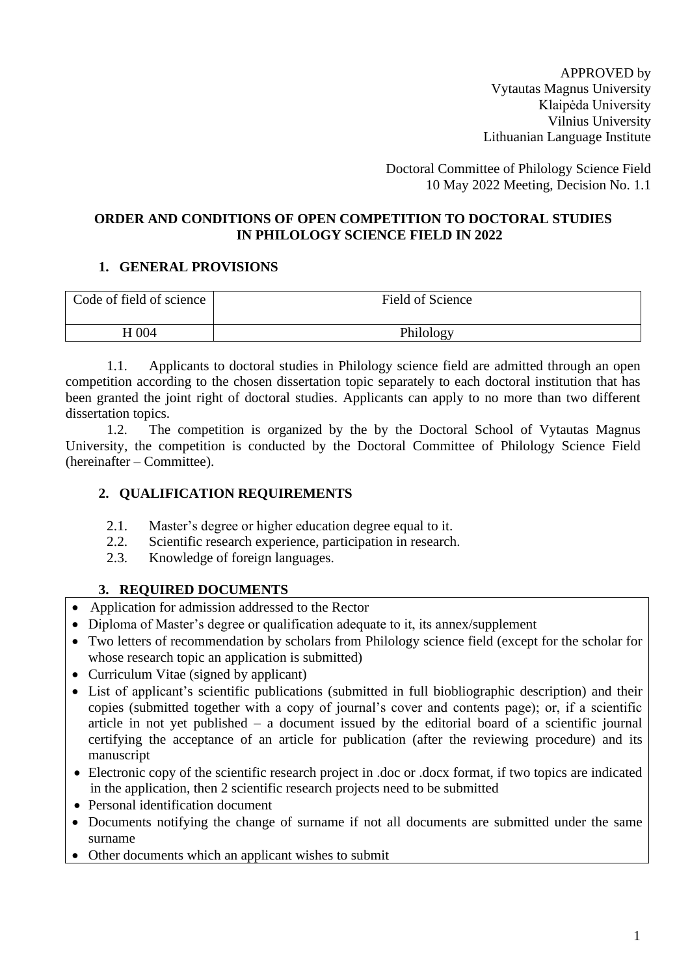APPROVED by Vytautas Magnus University Klaipėda University Vilnius University Lithuanian Language Institute

Doctoral Committee of Philology Science Field 10 May 2022 Meeting, Decision No. 1.1

#### **ORDER AND CONDITIONS OF OPEN COMPETITION TO DOCTORAL STUDIES IN PHILOLOGY SCIENCE FIELD IN 2022**

#### **1. GENERAL PROVISIONS**

| Code of field of science | Field of Science |
|--------------------------|------------------|
| H 004                    | Philology        |

1.1. Applicants to doctoral studies in Philology science field are admitted through an open competition according to the chosen dissertation topic separately to each doctoral institution that has been granted the joint right of doctoral studies. Applicants can apply to no more than two different dissertation topics.

1.2. The competition is organized by the by the Doctoral School of Vytautas Magnus University, the competition is conducted by the Doctoral Committee of Philology Science Field (hereinafter – Committee).

# **2. QUALIFICATION REQUIREMENTS**

- 2.1. Master's degree or higher education degree equal to it.
- 2.2. Scientific research experience, participation in research.
- 2.3. Knowledge of foreign languages.

# **3. REQUIRED DOCUMENTS**

- Application for admission addressed to the Rector
- Diploma of Master's degree or qualification adequate to it, its annex/supplement
- Two letters of recommendation by scholars from Philology science field (except for the scholar for whose research topic an application is submitted)
- Curriculum Vitae (signed by applicant)
- List of applicant's scientific publications (submitted in full biobliographic description) and their copies (submitted together with a copy of journal's cover and contents page); or, if a scientific article in not yet published – a document issued by the editorial board of a scientific journal certifying the acceptance of an article for publication (after the reviewing procedure) and its manuscript
- Electronic copy of the scientific research project in .doc or .docx format, if two topics are indicated in the application, then 2 scientific research projects need to be submitted
- Personal identification document
- Documents notifying the change of surname if not all documents are submitted under the same surname
- Other documents which an applicant wishes to submit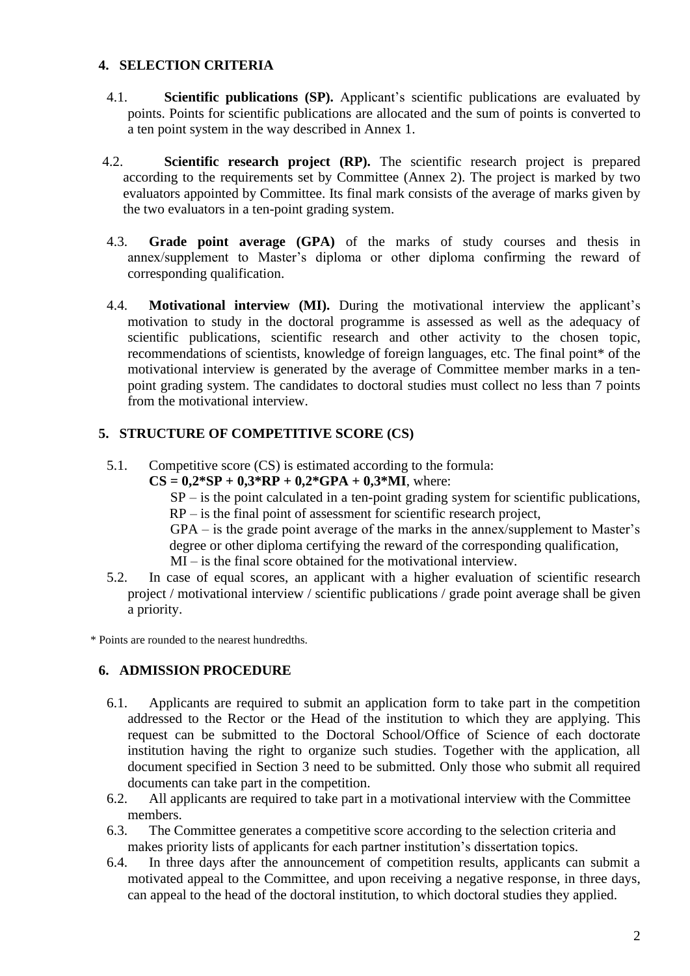#### **4. SELECTION CRITERIA**

- 4.1. **Scientific publications (SP).** Applicant's scientific publications are evaluated by points. Points for scientific publications are allocated and the sum of points is converted to a ten point system in the way described in Annex 1.
- 4.2. **Scientific research project (RP).** The scientific research project is prepared according to the requirements set by Committee (Annex 2). The project is marked by two evaluators appointed by Committee. Its final mark consists of the average of marks given by the two evaluators in a ten-point grading system.
- 4.3. **Grade point average (GPA)** of the marks of study courses and thesis in annex/supplement to Master's diploma or other diploma confirming the reward of corresponding qualification.
- 4.4. **Motivational interview (MI).** During the motivational interview the applicant's motivation to study in the doctoral programme is assessed as well as the adequacy of scientific publications, scientific research and other activity to the chosen topic, recommendations of scientists, knowledge of foreign languages, etc. The final point\* of the motivational interview is generated by the average of Committee member marks in a tenpoint grading system. The candidates to doctoral studies must collect no less than 7 points from the motivational interview.

# **5. STRUCTURE OF COMPETITIVE SCORE (CS)**

5.1. Competitive score (CS) is estimated according to the formula:

 $CS = 0.2*SP + 0.3*RP + 0.2*GPA + 0.3*MI$ , where:

 $SP - is$  the point calculated in a ten-point grading system for scientific publications, RP – is the final point of assessment for scientific research project,

GPA – is the grade point average of the marks in the annex/supplement to Master's degree or other diploma certifying the reward of the corresponding qualification, MI – is the final score obtained for the motivational interview.

5.2. In case of equal scores, an applicant with a higher evaluation of scientific research project / motivational interview / scientific publications / grade point average shall be given a priority.

\* Points are rounded to the nearest hundredths.

### **6. ADMISSION PROCEDURE**

- 6.1. Applicants are required to submit an application form to take part in the competition addressed to the Rector or the Head of the institution to which they are applying. This request can be submitted to the Doctoral School/Office of Science of each doctorate institution having the right to organize such studies. Together with the application, all document specified in Section 3 need to be submitted. Only those who submit all required documents can take part in the competition.
- 6.2. All applicants are required to take part in a motivational interview with the Committee members.
- 6.3. The Committee generates a competitive score according to the selection criteria and makes priority lists of applicants for each partner institution's dissertation topics.
- 6.4. In three days after the announcement of competition results, applicants can submit a motivated appeal to the Committee, and upon receiving a negative response, in three days, can appeal to the head of the doctoral institution, to which doctoral studies they applied.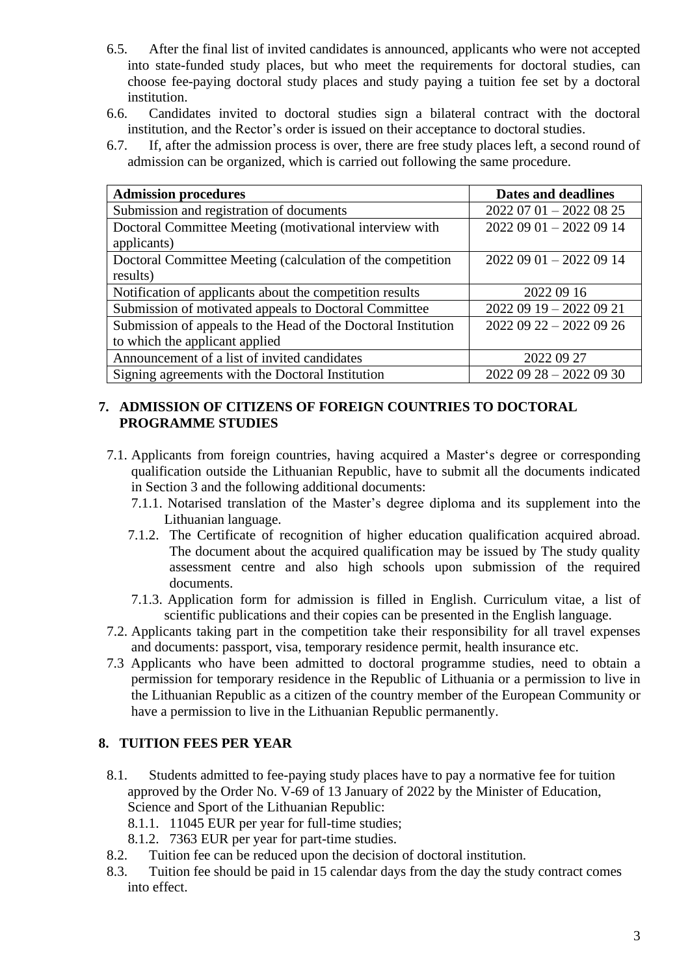- 6.5. After the final list of invited candidates is announced, applicants who were not accepted into state-funded study places, but who meet the requirements for doctoral studies, can choose fee-paying doctoral study places and study paying a tuition fee set by a doctoral institution.
- 6.6. Candidates invited to doctoral studies sign a bilateral contract with the doctoral institution, and the Rector's order is issued on their acceptance to doctoral studies.
- 6.7. If, after the admission process is over, there are free study places left, a second round of admission can be organized, which is carried out following the same procedure.

| <b>Admission procedures</b>                                   | Dates and deadlines     |
|---------------------------------------------------------------|-------------------------|
| Submission and registration of documents                      | $20220701 - 20220825$   |
| Doctoral Committee Meeting (motivational interview with       | 2022 09 01 - 2022 09 14 |
| applicants)                                                   |                         |
| Doctoral Committee Meeting (calculation of the competition    | $20220901 - 20220914$   |
| results)                                                      |                         |
| Notification of applicants about the competition results      | 2022 09 16              |
| Submission of motivated appeals to Doctoral Committee         | $20220919 - 20220921$   |
| Submission of appeals to the Head of the Doctoral Institution | $20220922 - 20220926$   |
| to which the applicant applied                                |                         |
| Announcement of a list of invited candidates                  | 2022 09 27              |
| Signing agreements with the Doctoral Institution              | $20220928 - 20220930$   |

### **7. ADMISSION OF CITIZENS OF FOREIGN COUNTRIES TO DOCTORAL PROGRAMME STUDIES**

- 7.1. Applicants from foreign countries, having acquired a Master's degree or corresponding qualification outside the Lithuanian Republic, have to submit all the documents indicated in Section 3 and the following additional documents:
	- 7.1.1. Notarised translation of the Master's degree diploma and its supplement into the Lithuanian language.
	- 7.1.2. The Certificate of recognition of higher education qualification acquired abroad. The document about the acquired qualification may be issued by The study quality assessment centre and also high schools upon submission of the required documents.
	- 7.1.3. Application form for admission is filled in English. Curriculum vitae, a list of scientific publications and their copies can be presented in the English language.
- 7.2. Applicants taking part in the competition take their responsibility for all travel expenses and documents: passport, visa, temporary residence permit, health insurance etc.
- 7.3 Applicants who have been admitted to doctoral programme studies, need to obtain a permission for temporary residence in the Republic of Lithuania or a permission to live in the Lithuanian Republic as a citizen of the country member of the European Community or have a permission to live in the Lithuanian Republic permanently.

#### **8. TUITION FEES PER YEAR**

- 8.1. Students admitted to fee-paying study places have to pay a normative fee for tuition approved by the Order No. V-69 of 13 January of 2022 by the Minister of Education, Science and Sport of the Lithuanian Republic:
	- 8.1.1. 11045 EUR per year for full-time studies;
	- 8.1.2. 7363 EUR per year for part-time studies.
- 8.2. Tuition fee can be reduced upon the decision of doctoral institution.
- 8.3. Tuition fee should be paid in 15 calendar days from the day the study contract comes into effect.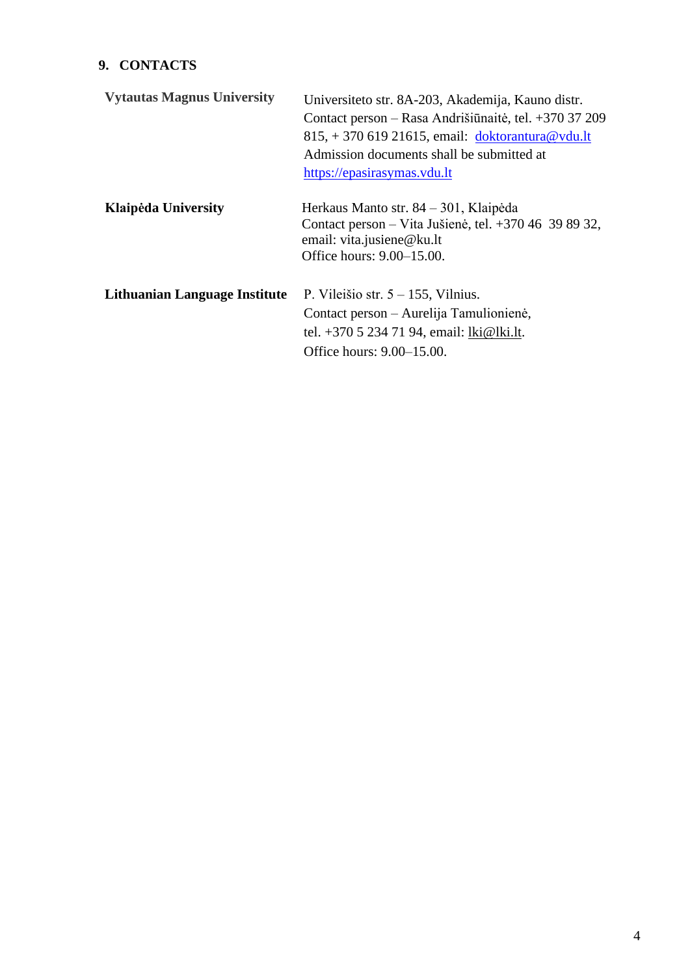# **9. CONTACTS**

| <b>Vytautas Magnus University</b> | Universiteto str. 8A-203, Akademija, Kauno distr.<br>Contact person – Rasa Andrišiūnaitė, tel. +370 37 209<br>$815, +37061921615$ , email: doktorantura@vdu.lt<br>Admission documents shall be submitted at<br>https://epasirasymas.vdu.lt |
|-----------------------------------|--------------------------------------------------------------------------------------------------------------------------------------------------------------------------------------------------------------------------------------------|
| Klaipėda University               | Herkaus Manto str. 84 – 301, Klaipėda<br>Contact person – Vita Jušienė, tel. +370 46 39 89 32,<br>email: vita.jusiene@ku.lt<br>Office hours: 9.00–15.00.                                                                                   |
| Lithuanian Language Institute     | P. Vileišio str. $5 - 155$ , Vilnius.<br>Contact person – Aurelija Tamulionienė,<br>tel. +370 5 234 71 94, email: lki@lki.lt.<br>Office hours: 9.00–15.00.                                                                                 |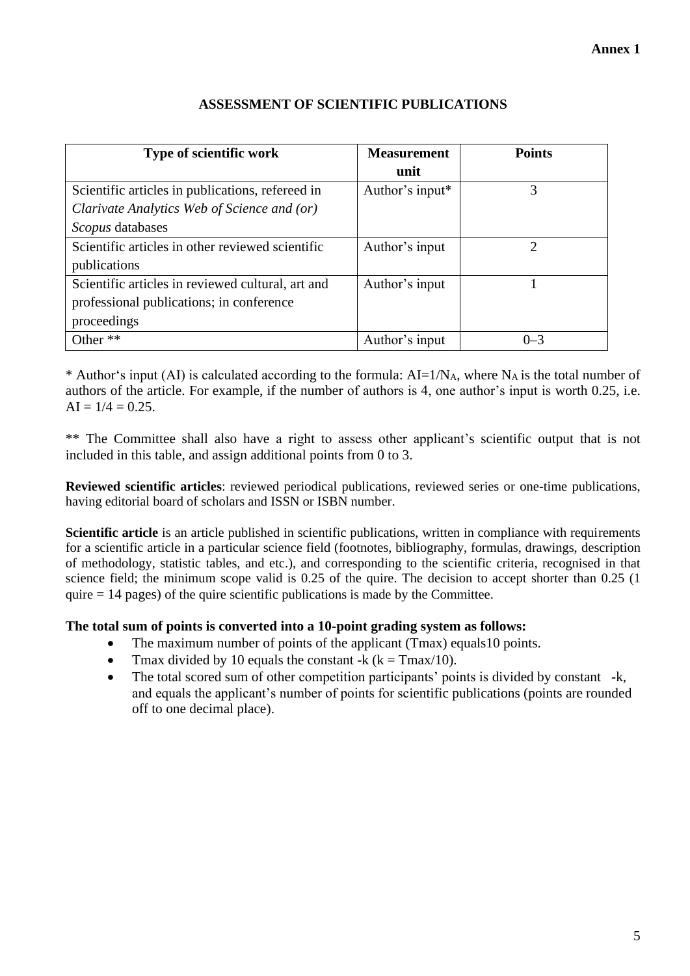| <b>Type of scientific work</b>                    | <b>Measurement</b> | <b>Points</b> |
|---------------------------------------------------|--------------------|---------------|
|                                                   | unit               |               |
| Scientific articles in publications, refereed in  | Author's input*    | 3             |
| Clarivate Analytics Web of Science and (or)       |                    |               |
| Scopus databases                                  |                    |               |
| Scientific articles in other reviewed scientific  | Author's input     | ↑             |
| publications                                      |                    |               |
| Scientific articles in reviewed cultural, art and | Author's input     |               |
| professional publications; in conference          |                    |               |
| proceedings                                       |                    |               |
| Other **                                          | Author's input     | $0 - 3$       |

# **ASSESSMENT OF SCIENTIFIC PUBLICATIONS**

\* Author's input (AI) is calculated according to the formula:  $AI=1/N_A$ , where  $N_A$  is the total number of authors of the article. For example, if the number of authors is 4, one author's input is worth 0.25, i.e.  $AI = 1/4 = 0.25$ .

\*\* The Committee shall also have a right to assess other applicant's scientific output that is not included in this table, and assign additional points from 0 to 3.

**Reviewed scientific articles**: reviewed periodical publications, reviewed series or one-time publications, having editorial board of scholars and ISSN or ISBN number.

**Scientific article** is an article published in scientific publications, written in compliance with requirements for a scientific article in a particular science field (footnotes, bibliography, formulas, drawings, description of methodology, statistic tables, and etc.), and corresponding to the scientific criteria, recognised in that science field; the minimum scope valid is 0.25 of the quire. The decision to accept shorter than 0.25 (1 quire  $= 14$  pages) of the quire scientific publications is made by the Committee.

#### **The total sum of points is converted into a 10-point grading system as follows:**

- The maximum number of points of the applicant (Tmax) equals 10 points.
- Tmax divided by 10 equals the constant -k  $(k = Tmax/10)$ .
- The total scored sum of other competition participants' points is divided by constant -k, and equals the applicant's number of points for scientific publications (points are rounded off to one decimal place).